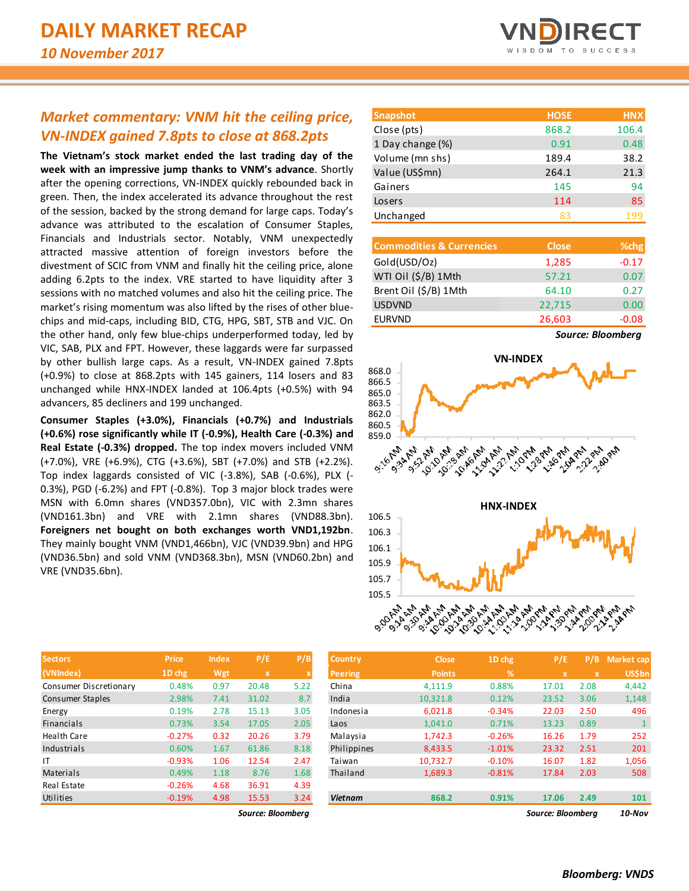# *Market commentary: VNM hit the ceiling price, VN-INDEX gained 7.8pts to close at 868.2pts*

**The Vietnam's stock market ended the last trading day of the week with an impressive jump thanks to VNM's advance**. Shortly after the opening corrections, VN-INDEX quickly rebounded back in green. Then, the index accelerated its advance throughout the rest of the session, backed by the strong demand for large caps. Today's advance was attributed to the escalation of Consumer Staples, Financials and Industrials sector. Notably, VNM unexpectedly attracted massive attention of foreign investors before the divestment of SCIC from VNM and finally hit the ceiling price, alone adding 6.2pts to the index. VRE started to have liquidity after 3 sessions with no matched volumes and also hit the ceiling price. The market's rising momentum was also lifted by the rises of other bluechips and mid-caps, including BID, CTG, HPG, SBT, STB and VJC. On the other hand, only few blue-chips underperformed today, led by VIC, SAB, PLX and FPT. However, these laggards were far surpassed by other bullish large caps. As a result, VN-INDEX gained 7.8pts (+0.9%) to close at 868.2pts with 145 gainers, 114 losers and 83 unchanged while HNX-INDEX landed at 106.4pts (+0.5%) with 94 advancers, 85 decliners and 199 unchanged.

**Consumer Staples (+3.0%), Financials (+0.7%) and Industrials (+0.6%) rose significantly while IT (-0.9%), Health Care (-0.3%) and Real Estate (-0.3%) dropped.** The top index movers included VNM (+7.0%), VRE (+6.9%), CTG (+3.6%), SBT (+7.0%) and STB (+2.2%). Top index laggards consisted of VIC (-3.8%), SAB (-0.6%), PLX (- 0.3%), PGD (-6.2%) and FPT (-0.8%). Top 3 major block trades were MSN with 6.0mn shares (VND357.0bn), VIC with 2.3mn shares (VND161.3bn) and VRE with 2.1mn shares (VND88.3bn). **Foreigners net bought on both exchanges worth VND1,192bn**. They mainly bought VNM (VND1,466bn), VJC (VND39.9bn) and HPG (VND36.5bn) and sold VNM (VND368.3bn), MSN (VND60.2bn) and VRE (VND35.6bn).

| <b>Snapshot</b>  | <b>HOSE</b> | <b>HNX</b> |
|------------------|-------------|------------|
| Close (pts)      | 868.2       | 106.4      |
| 1 Day change (%) | 0.91        | 0.48       |
| Volume (mn shs)  | 189.4       | 38.2       |
| Value (US\$mn)   | 264.1       | 21.3       |
| Gainers          | 145         | 94         |
| Losers           | 114         | 85         |
| Unchanged        | ŖЗ          | 199        |

| <b>Commodities &amp; Currencies</b> | <b>Close</b> | % <sub>chg</sub> |
|-------------------------------------|--------------|------------------|
| Gold(USD/Oz)                        | 1,285        | $-0.17$          |
| WTI Oil (\$/B) 1Mth                 | 57.21        | 0.07             |
| Brent Oil (\$/B) 1Mth               | 64.10        | 0.27             |
| <b>USDVND</b>                       | 22,715       | 0.00             |
| <b>EURVND</b>                       | 26,603       | $-0.08$          |

*Source: Bloomberg*



| <b>Sectors</b>          | <b>Price</b> | <b>Index</b> | P/E         | P/B                       |
|-------------------------|--------------|--------------|-------------|---------------------------|
| (VNIndex)               | 1D chg       | Wgt          | $\mathbf x$ | $\boldsymbol{\mathsf{x}}$ |
| Consumer Discretionary  | 0.48%        | 0.97         | 20.48       | 5.22                      |
| <b>Consumer Staples</b> | 2.98%        | 7.41         | 31.02       | 8.7                       |
| Energy                  | 0.19%        | 2.78         | 15.13       | 3.05                      |
| <b>Financials</b>       | 0.73%        | 3.54         | 17.05       | 2.05                      |
| <b>Health Care</b>      | $-0.27%$     | 0.32         | 20.26       | 3.79                      |
| Industrials             | 0.60%        | 1.67         | 61.86       | 8.18                      |
| ΙT                      | $-0.93%$     | 1.06         | 12.54       | 2.47                      |
| Materials               | 0.49%        | 1.18         | 8.76        | 1.68                      |
| Real Estate             | $-0.26%$     | 4.68         | 36.91       | 4.39                      |
| Utilities               | $-0.19%$     | 4.98         | 15.53       | 3.24                      |

*Source: Bloomberg Source: Bloomberg 10-Nov*

| <b>Sectors</b>         | Price    | <b>Index</b> | P/E               | P/B  | <b>Country</b> | <b>Close</b>  | 1D chg      | P/E               | P/B  | Market cap    |
|------------------------|----------|--------------|-------------------|------|----------------|---------------|-------------|-------------------|------|---------------|
| (VNIndex)              | 1D chg   | Wgt          | x                 | X    | Peering        | <b>Points</b> | $\sqrt{26}$ | $\mathbf x$       | X.   | <b>US\$bn</b> |
| Consumer Discretionary | 0.48%    | 0.97         | 20.48             | 5.22 | China          | 4,111.9       | 0.88%       | 17.01             | 2.08 | 4,442         |
| Consumer Staples       | 2.98%    | 7.41         | 31.02             | 8.7  | India          | 10,321.8      | 0.12%       | 23.52             | 3.06 | 1,148         |
| Energy                 | 0.19%    | 2.78         | 15.13             | 3.05 | Indonesia      | 6,021.8       | $-0.34%$    | 22.03             | 2.50 | 496           |
| Financials             | 0.73%    | 3.54         | 17.05             | 2.05 | Laos           | 1.041.0       | 0.71%       | 13.23             | 0.89 |               |
| Health Care            | $-0.27%$ | 0.32         | 20.26             | 3.79 | Malaysia       | 1.742.3       | $-0.26%$    | 16.26             | 1.79 | 252           |
| Industrials            | 0.60%    | 1.67         | 61.86             | 8.18 | Philippines    | 8,433.5       | $-1.01%$    | 23.32             | 2.51 | 201           |
|                        | $-0.93%$ | 1.06         | 12.54             | 2.47 | Taiwan         | 10,732.7      | $-0.10%$    | 16.07             | 1.82 | 1,056         |
| Materials              | 0.49%    | 1.18         | 8.76              | 1.68 | Thailand       | 1,689.3       | $-0.81%$    | 17.84             | 2.03 | 508           |
| Real Estate            | $-0.26%$ | 4.68         | 36.91             | 4.39 |                |               |             |                   |      |               |
| Utilities              | $-0.19%$ | 4.98         | 15.53             | 3.24 | <b>Vietnam</b> | 868.2         | 0.91%       | 17.06             | 2.49 | 101           |
|                        |          |              | Source: Bloombera |      |                |               |             | Source: Bloomberg |      | $10$ -Nov     |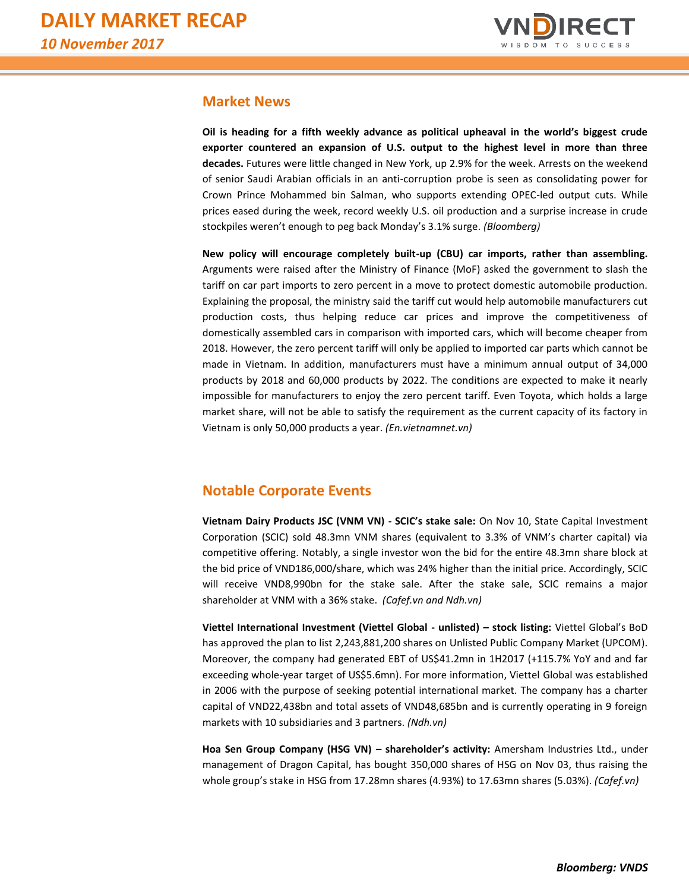

# **Market News**

**Oil is heading for a fifth weekly advance as political upheaval in the world's biggest crude exporter countered an expansion of U.S. output to the highest level in more than three decades.** Futures were little changed in New York, up 2.9% for the week. Arrests on the weekend of senior Saudi Arabian officials in an anti-corruption probe is seen as consolidating power for Crown Prince Mohammed bin Salman, who supports extending OPEC-led output cuts. While prices eased during the week, record weekly U.S. oil production and a surprise increase in crude stockpiles weren't enough to peg back Monday's 3.1% surge. *(Bloomberg)*

**New policy will encourage completely built-up (CBU) car imports, rather than assembling.**  Arguments were raised after the Ministry of Finance (MoF) asked the government to slash the tariff on car part imports to zero percent in a move to protect domestic automobile production. Explaining the proposal, the ministry said the tariff cut would help automobile manufacturers cut production costs, thus helping reduce car prices and improve the competitiveness of domestically assembled cars in comparison with imported cars, which will become cheaper from 2018. However, the zero percent tariff will only be applied to imported car parts which cannot be made in Vietnam. In addition, manufacturers must have a minimum annual output of 34,000 products by 2018 and 60,000 products by 2022. The conditions are expected to make it nearly impossible for manufacturers to enjoy the zero percent tariff. Even Toyota, which holds a large market share, will not be able to satisfy the requirement as the current capacity of its factory in Vietnam is only 50,000 products a year. *(En.vietnamnet.vn)*

# **Notable Corporate Events**

**Vietnam Dairy Products JSC (VNM VN) - SCIC's stake sale:** On Nov 10, State Capital Investment Corporation (SCIC) sold 48.3mn VNM shares (equivalent to 3.3% of VNM's charter capital) via competitive offering. Notably, a single investor won the bid for the entire 48.3mn share block at the bid price of VND186,000/share, which was 24% higher than the initial price. Accordingly, SCIC will receive VND8,990bn for the stake sale. After the stake sale, SCIC remains a major shareholder at VNM with a 36% stake. *(Cafef.vn and Ndh.vn)*

**Viettel International Investment (Viettel Global - unlisted) – stock listing:** Viettel Global's BoD has approved the plan to list 2,243,881,200 shares on Unlisted Public Company Market (UPCOM). Moreover, the company had generated EBT of US\$41.2mn in 1H2017 (+115.7% YoY and and far exceeding whole-year target of US\$5.6mn). For more information, Viettel Global was established in 2006 with the purpose of seeking potential international market. The company has a charter capital of VND22,438bn and total assets of VND48,685bn and is currently operating in 9 foreign markets with 10 subsidiaries and 3 partners. *(Ndh.vn)*

**Hoa Sen Group Company (HSG VN) – shareholder's activity:** Amersham Industries Ltd., under management of Dragon Capital, has bought 350,000 shares of HSG on Nov 03, thus raising the whole group's stake in HSG from 17.28mn shares (4.93%) to 17.63mn shares (5.03%). *(Cafef.vn)*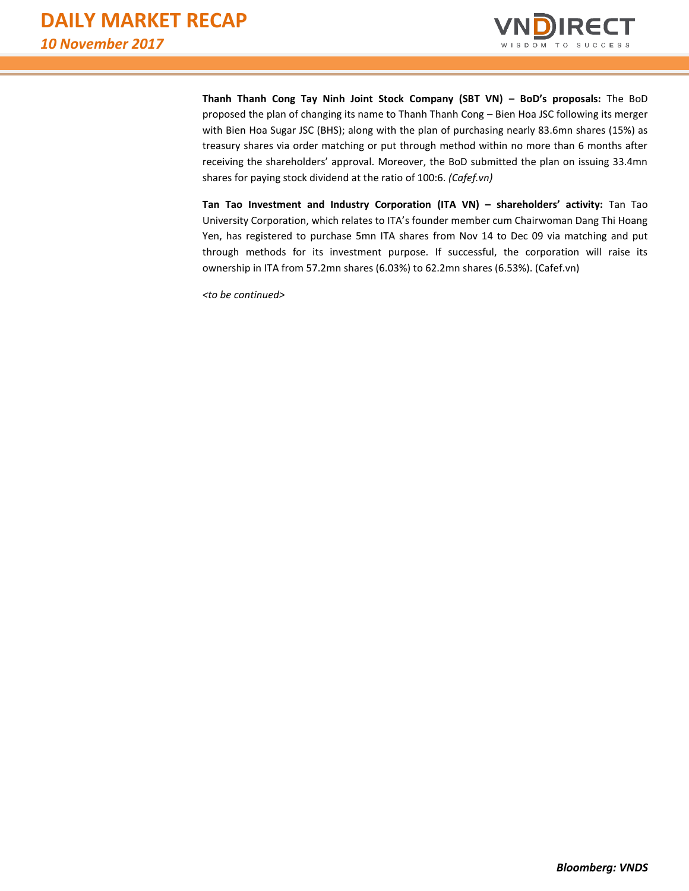

**Thanh Thanh Cong Tay Ninh Joint Stock Company (SBT VN) – BoD's proposals:** The BoD proposed the plan of changing its name to Thanh Thanh Cong – Bien Hoa JSC following its merger with Bien Hoa Sugar JSC (BHS); along with the plan of purchasing nearly 83.6mn shares (15%) as treasury shares via order matching or put through method within no more than 6 months after receiving the shareholders' approval. Moreover, the BoD submitted the plan on issuing 33.4mn shares for paying stock dividend at the ratio of 100:6. *(Cafef.vn)*

**Tan Tao Investment and Industry Corporation (ITA VN) – shareholders' activity:** Tan Tao University Corporation, which relates to ITA's founder member cum Chairwoman Dang Thi Hoang Yen, has registered to purchase 5mn ITA shares from Nov 14 to Dec 09 via matching and put through methods for its investment purpose. If successful, the corporation will raise its ownership in ITA from 57.2mn shares (6.03%) to 62.2mn shares (6.53%). (Cafef.vn)

*<to be continued>*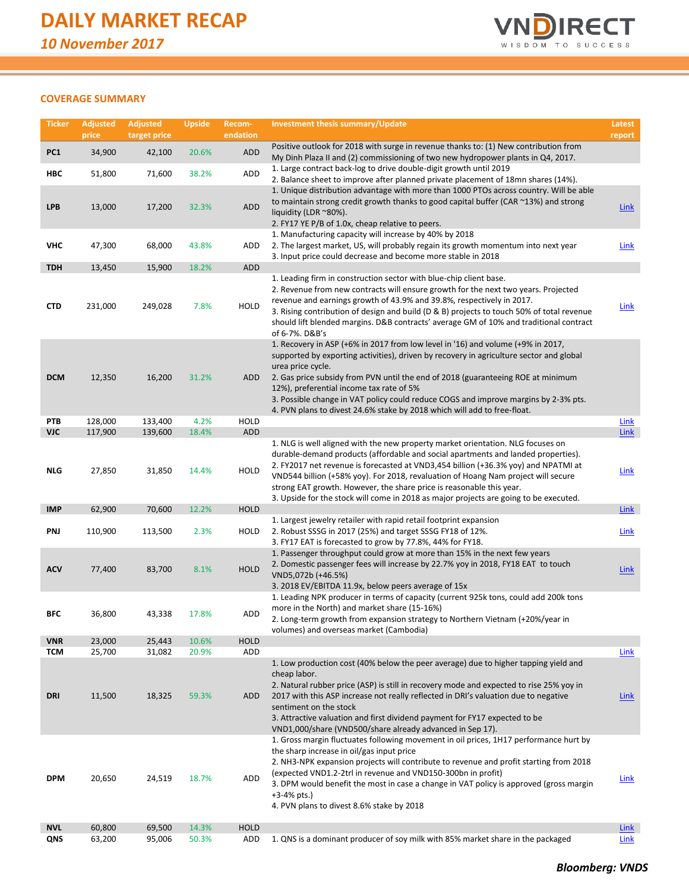

### **COVERAGE SUMMARY**

| <b>Ticker</b>            | <b>Adjusted</b><br>price | <b>Adjusted</b><br>target price | <b>Upside</b>  | Recom-<br>endation | Investment thesis summary/Update                                                                                                                                                                                                                                                                                                                                                                                                                                                                                 | Latest<br>report           |
|--------------------------|--------------------------|---------------------------------|----------------|--------------------|------------------------------------------------------------------------------------------------------------------------------------------------------------------------------------------------------------------------------------------------------------------------------------------------------------------------------------------------------------------------------------------------------------------------------------------------------------------------------------------------------------------|----------------------------|
| PC1                      | 34,900                   | 42,100                          | 20.6%          | <b>ADD</b>         | Positive outlook for 2018 with surge in revenue thanks to: (1) New contribution from<br>My Dinh Plaza II and (2) commissioning of two new hydropower plants in Q4, 2017.                                                                                                                                                                                                                                                                                                                                         |                            |
| HBC                      | 51,800                   | 71,600                          | 38.2%          | ADD                | 1. Large contract back-log to drive double-digit growth until 2019<br>2. Balance sheet to improve after planned private placement of 18mn shares (14%).                                                                                                                                                                                                                                                                                                                                                          |                            |
| <b>LPB</b>               | 13,000                   | 17,200                          | 32.3%          | <b>ADD</b>         | 1. Unique distribution advantage with more than 1000 PTOs across country. Will be able<br>to maintain strong credit growth thanks to good capital buffer (CAR ~13%) and strong<br>liquidity (LDR ~80%).<br>2. FY17 YE P/B of 1.0x, cheap relative to peers.                                                                                                                                                                                                                                                      | <u>Link</u>                |
| VHC                      | 47,300                   | 68,000                          | 43.8%          | ADD                | 1. Manufacturing capacity will increase by 40% by 2018<br>2. The largest market, US, will probably regain its growth momentum into next year<br>3. Input price could decrease and become more stable in 2018                                                                                                                                                                                                                                                                                                     | <b>Link</b>                |
| <b>TDH</b>               | 13,450                   | 15,900                          | 18.2%          | ADD                |                                                                                                                                                                                                                                                                                                                                                                                                                                                                                                                  |                            |
| <b>CTD</b>               | 231,000                  | 249,028                         | 7.8%           | <b>HOLD</b>        | 1. Leading firm in construction sector with blue-chip client base.<br>2. Revenue from new contracts will ensure growth for the next two years. Projected<br>revenue and earnings growth of 43.9% and 39.8%, respectively in 2017.<br>3. Rising contribution of design and build (D & B) projects to touch 50% of total revenue<br>should lift blended margins. D&B contracts' average GM of 10% and traditional contract<br>of 6-7%. D&B's                                                                       | <b>Link</b>                |
| <b>DCM</b>               | 12,350                   | 16,200                          | 31.2%          | ADD                | 1. Recovery in ASP (+6% in 2017 from low level in '16) and volume (+9% in 2017,<br>supported by exporting activities), driven by recovery in agriculture sector and global<br>urea price cycle.<br>2. Gas price subsidy from PVN until the end of 2018 (guaranteeing ROE at minimum<br>12%), preferential income tax rate of 5%<br>3. Possible change in VAT policy could reduce COGS and improve margins by 2-3% pts.<br>4. PVN plans to divest 24.6% stake by 2018 which will add to free-float.               |                            |
| PTB                      | 128,000                  | 133,400                         | 4.2%           | <b>HOLD</b>        |                                                                                                                                                                                                                                                                                                                                                                                                                                                                                                                  | <b>Link</b>                |
| VJC                      | 117,900                  | 139,600                         | 18.4%          | <b>ADD</b>         |                                                                                                                                                                                                                                                                                                                                                                                                                                                                                                                  | <b>Link</b>                |
| <b>NLG</b>               | 27,850                   | 31,850                          | 14.4%          | <b>HOLD</b>        | 1. NLG is well aligned with the new property market orientation. NLG focuses on<br>durable-demand products (affordable and social apartments and landed properties).<br>2. FY2017 net revenue is forecasted at VND3,454 billion (+36.3% yoy) and NPATMI at<br>VND544 billion (+58% yoy). For 2018, revaluation of Hoang Nam project will secure<br>strong EAT growth. However, the share price is reasonable this year.<br>3. Upside for the stock will come in 2018 as major projects are going to be executed. | <b>Link</b>                |
| <b>IMP</b>               | 62,900                   | 70,600                          | 12.2%          | <b>HOLD</b>        |                                                                                                                                                                                                                                                                                                                                                                                                                                                                                                                  | <b>Link</b>                |
| PNJ                      | 110,900                  | 113,500                         | 2.3%           | HOLD               | 1. Largest jewelry retailer with rapid retail footprint expansion<br>2. Robust SSSG in 2017 (25%) and target SSSG FY18 of 12%.<br>3. FY17 EAT is forecasted to grow by 77.8%, 44% for FY18.                                                                                                                                                                                                                                                                                                                      | <b>Link</b>                |
| <b>ACV</b>               | 77,400                   | 83,700                          | 8.1%           | <b>HOLD</b>        | 1. Passenger throughput could grow at more than 15% in the next few years<br>2. Domestic passenger fees will increase by 22.7% yoy in 2018, FY18 EAT to touch<br>VND5,072b (+46.5%)<br>3. 2018 EV/EBITDA 11.9x, below peers average of 15x                                                                                                                                                                                                                                                                       | <b>Link</b>                |
| BFC                      | 36,800                   | 43,338                          | 17.8%          | <b>ADD</b>         | 1. Leading NPK producer in terms of capacity (current 925k tons, could add 200k tons<br>more in the North) and market share (15-16%)<br>2. Long-term growth from expansion strategy to Northern Vietnam (+20%/year in<br>volumes) and overseas market (Cambodia)                                                                                                                                                                                                                                                 |                            |
| <b>VNR</b>               | 23,000                   | 25,443                          | 10.6%          | <b>HOLD</b>        |                                                                                                                                                                                                                                                                                                                                                                                                                                                                                                                  |                            |
| <b>TCM</b><br>DRI        | 25,700<br>11,500         | 31,082<br>18,325                | 20.9%<br>59.3% | ADD<br><b>ADD</b>  | 1. Low production cost (40% below the peer average) due to higher tapping yield and<br>cheap labor.<br>2. Natural rubber price (ASP) is still in recovery mode and expected to rise 25% yoy in<br>2017 with this ASP increase not really reflected in DRI's valuation due to negative<br>sentiment on the stock<br>3. Attractive valuation and first dividend payment for FY17 expected to be<br>VND1,000/share (VND500/share already advanced in Sep 17).                                                       | <b>Link</b><br><b>Link</b> |
| <b>DPM</b><br><b>NVL</b> | 20,650<br>60,800         | 24,519<br>69,500                | 18.7%<br>14.3% | ADD<br><b>HOLD</b> | 1. Gross margin fluctuates following movement in oil prices, 1H17 performance hurt by<br>the sharp increase in oil/gas input price<br>2. NH3-NPK expansion projects will contribute to revenue and profit starting from 2018<br>(expected VND1.2-2trl in revenue and VND150-300bn in profit)<br>3. DPM would benefit the most in case a change in VAT policy is approved (gross margin<br>$+3-4%$ pts.)<br>4. PVN plans to divest 8.6% stake by 2018                                                             | <b>Link</b><br><b>Link</b> |
| QNS                      | 63,200                   | 95,006                          | 50.3%          | ADD                | 1. QNS is a dominant producer of soy milk with 85% market share in the packaged                                                                                                                                                                                                                                                                                                                                                                                                                                  | Link                       |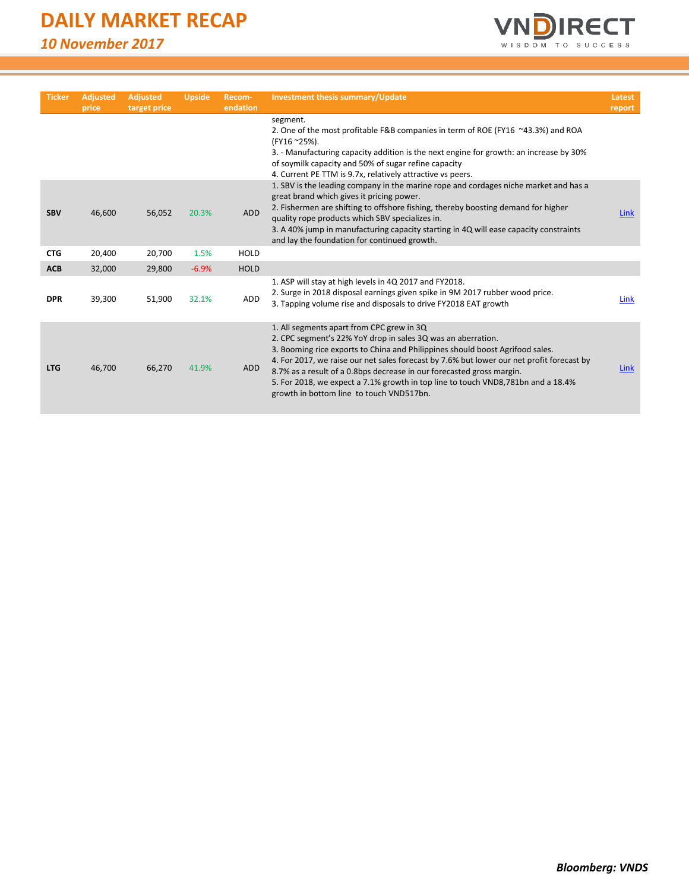# **DAILY MARKET RECAP**

*10 November 2017*



| <b>Ticker</b> | <b>Adjusted</b><br>price | <b>Adjusted</b><br>target price | <b>Upside</b> | Recom-<br>endation | <b>Investment thesis summary/Update</b>                                                                                                                                                                                                                                                                                                                                                                                                                                                          | Latest<br>report |
|---------------|--------------------------|---------------------------------|---------------|--------------------|--------------------------------------------------------------------------------------------------------------------------------------------------------------------------------------------------------------------------------------------------------------------------------------------------------------------------------------------------------------------------------------------------------------------------------------------------------------------------------------------------|------------------|
|               |                          |                                 |               |                    | segment.<br>2. One of the most profitable F&B companies in term of ROE (FY16 ~43.3%) and ROA<br>(FY16 ~25%).<br>3. - Manufacturing capacity addition is the next engine for growth: an increase by 30%<br>of soymilk capacity and 50% of sugar refine capacity<br>4. Current PE TTM is 9.7x, relatively attractive vs peers.                                                                                                                                                                     |                  |
| <b>SBV</b>    | 46,600                   | 56,052                          | 20.3%         | <b>ADD</b>         | 1. SBV is the leading company in the marine rope and cordages niche market and has a<br>great brand which gives it pricing power.<br>2. Fishermen are shifting to offshore fishing, thereby boosting demand for higher<br>quality rope products which SBV specializes in.<br>3. A 40% jump in manufacturing capacity starting in 4Q will ease capacity constraints<br>and lay the foundation for continued growth.                                                                               | Link             |
| <b>CTG</b>    | 20,400                   | 20,700                          | 1.5%          | <b>HOLD</b>        |                                                                                                                                                                                                                                                                                                                                                                                                                                                                                                  |                  |
| <b>ACB</b>    | 32,000                   | 29,800                          | $-6.9%$       | <b>HOLD</b>        |                                                                                                                                                                                                                                                                                                                                                                                                                                                                                                  |                  |
| <b>DPR</b>    | 39,300                   | 51,900                          | 32.1%         | <b>ADD</b>         | 1. ASP will stay at high levels in 4Q 2017 and FY2018.<br>2. Surge in 2018 disposal earnings given spike in 9M 2017 rubber wood price.<br>3. Tapping volume rise and disposals to drive FY2018 EAT growth                                                                                                                                                                                                                                                                                        | Link             |
| <b>LTG</b>    | 46,700                   | 66,270                          | 41.9%         | <b>ADD</b>         | 1. All segments apart from CPC grew in 3Q<br>2. CPC segment's 22% YoY drop in sales 3Q was an aberration.<br>3. Booming rice exports to China and Philippines should boost Agrifood sales.<br>4. For 2017, we raise our net sales forecast by 7.6% but lower our net profit forecast by<br>8.7% as a result of a 0.8bps decrease in our forecasted gross margin.<br>5. For 2018, we expect a 7.1% growth in top line to touch VND8,781bn and a 18.4%<br>growth in bottom line to touch VND517bn. | <b>Link</b>      |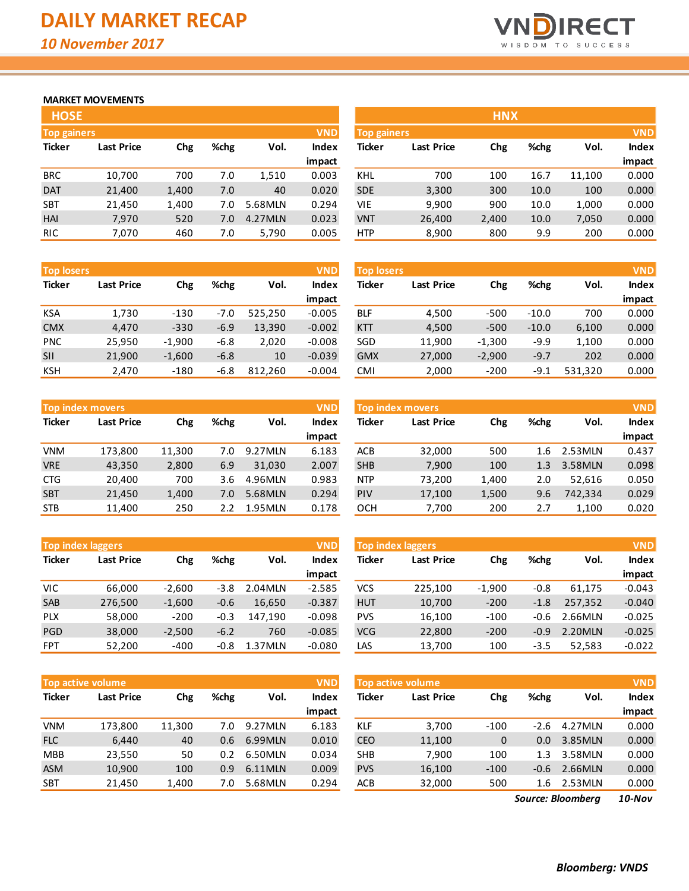

# **MARKET MOVEMENTS**

| <b>HOSE</b>                      |                   |       |      |         |              |  |  |  |  |  |
|----------------------------------|-------------------|-------|------|---------|--------------|--|--|--|--|--|
| <b>VND</b><br><b>Top gainers</b> |                   |       |      |         |              |  |  |  |  |  |
| <b>Ticker</b>                    | <b>Last Price</b> | Chg   | %chg | Vol.    | <b>Index</b> |  |  |  |  |  |
|                                  |                   |       |      |         | impact       |  |  |  |  |  |
| <b>BRC</b>                       | 10,700            | 700   | 7.0  | 1,510   | 0.003        |  |  |  |  |  |
| <b>DAT</b>                       | 21,400            | 1,400 | 7.0  | 40      | 0.020        |  |  |  |  |  |
| <b>SBT</b>                       | 21,450            | 1,400 | 7.0  | 5.68MLN | 0.294        |  |  |  |  |  |
| HAI                              | 7,970             | 520   | 7.0  | 4.27MLN | 0.023        |  |  |  |  |  |
| <b>RIC</b>                       | 7,070             | 460   | 7.0  | 5,790   | 0.005        |  |  |  |  |  |

| <b>Top losers</b> |                   |          |        |         |          |               | <b>VND</b><br><b>Top losers</b> |          |         |         | <b>VND</b> |  |  |
|-------------------|-------------------|----------|--------|---------|----------|---------------|---------------------------------|----------|---------|---------|------------|--|--|
| <b>Ticker</b>     | <b>Last Price</b> | Chg      | %chg   | Vol.    | Index    | <b>Ticker</b> | <b>Last Price</b>               | Chg      | %chg    | Vol.    | Index      |  |  |
|                   |                   |          |        |         | impact   |               |                                 |          |         |         | impact     |  |  |
| KSA               | 1,730             | $-130$   | $-7.0$ | 525,250 | $-0.005$ | <b>BLF</b>    | 4,500                           | $-500$   | $-10.0$ | 700     | 0.000      |  |  |
| <b>CMX</b>        | 4,470             | $-330$   | $-6.9$ | 13,390  | $-0.002$ | <b>KTT</b>    | 4,500                           | $-500$   | $-10.0$ | 6,100   | 0.000      |  |  |
| <b>PNC</b>        | 25,950            | $-1,900$ | $-6.8$ | 2,020   | $-0.008$ | SGD           | 11,900                          | $-1,300$ | $-9.9$  | 1,100   | 0.000      |  |  |
| <b>SII</b>        | 21,900            | $-1,600$ | $-6.8$ | 10      | $-0.039$ | <b>GMX</b>    | 27,000                          | $-2,900$ | $-9.7$  | 202     | 0.000      |  |  |
| <b>KSH</b>        | 2,470             | $-180$   | $-6.8$ | 812,260 | $-0.004$ | CMI           | 2,000                           | $-200$   | -9.1    | 531,320 | 0.000      |  |  |

|               | <b>VND</b><br><b>Top index movers</b> |        |      |          |              |  |  |  |  |  |  |  |  |
|---------------|---------------------------------------|--------|------|----------|--------------|--|--|--|--|--|--|--|--|
| <b>Ticker</b> | <b>Last Price</b>                     | Chg    | %chg | Vol.     | <b>Index</b> |  |  |  |  |  |  |  |  |
|               |                                       |        |      |          | impact       |  |  |  |  |  |  |  |  |
| VNM           | 173,800                               | 11,300 | 7.0  | 9.27MLN  | 6.183        |  |  |  |  |  |  |  |  |
| <b>VRE</b>    | 43,350                                | 2,800  | 6.9  | 31,030   | 2.007        |  |  |  |  |  |  |  |  |
| <b>CTG</b>    | 20,400                                | 700    | 3.6  | 4.96MLN  | 0.983        |  |  |  |  |  |  |  |  |
| <b>SBT</b>    | 21,450                                | 1,400  | 7.0  | 5.68MLN  | 0.294        |  |  |  |  |  |  |  |  |
| <b>STB</b>    | 11,400                                | 250    | 2.2  | 1.95 MLN | 0.178        |  |  |  |  |  |  |  |  |

|               | <b>VND</b><br><b>Top index laggers</b> |          |        |         |              |  |  |  |  |  |  |  |  |
|---------------|----------------------------------------|----------|--------|---------|--------------|--|--|--|--|--|--|--|--|
| <b>Ticker</b> | <b>Last Price</b>                      | Chg      | %chg   | Vol.    | <b>Index</b> |  |  |  |  |  |  |  |  |
|               |                                        |          |        |         | impact       |  |  |  |  |  |  |  |  |
| VIC           | 66,000                                 | $-2,600$ | $-3.8$ | 2.04MLN | $-2.585$     |  |  |  |  |  |  |  |  |
| <b>SAB</b>    | 276,500                                | $-1,600$ | $-0.6$ | 16,650  | $-0.387$     |  |  |  |  |  |  |  |  |
| <b>PLX</b>    | 58,000                                 | $-200$   | $-0.3$ | 147,190 | $-0.098$     |  |  |  |  |  |  |  |  |
| PGD           | 38,000                                 | $-2,500$ | $-6.2$ | 760     | $-0.085$     |  |  |  |  |  |  |  |  |
| <b>FPT</b>    | 52,200                                 | $-400$   | $-0.8$ | 1.37MLN | $-0.080$     |  |  |  |  |  |  |  |  |

|               | Top active volume |        |      | <b>VND</b> |        | Top active volume |                   |        |        | <b>VND</b> |        |
|---------------|-------------------|--------|------|------------|--------|-------------------|-------------------|--------|--------|------------|--------|
| <b>Ticker</b> | <b>Last Price</b> | Chg    | %chg | Vol.       | Index  | Ticker            | <b>Last Price</b> | Chg    | %chg   | Vol.       | Index  |
|               |                   |        |      |            | impact |                   |                   |        |        |            | impact |
| <b>VNM</b>    | 173.800           | 11.300 | 7.0  | 9.27MLN    | 6.183  | KLF               | 3,700             | $-100$ | $-2.6$ | 4.27MLN    | 0.000  |
| <b>FLC</b>    | 6,440             | 40     | 0.6  | 6.99MLN    | 0.010  | <b>CEO</b>        | 11,100            | 0      | 0.0    | 3.85 MLN   | 0.000  |
| <b>MBB</b>    | 23,550            | 50     | 0.2  | 6.50MLN    | 0.034  | SH <sub>B</sub>   | 7.900             | 100    | 1.3    | 3.58MLN    | 0.000  |
| <b>ASM</b>    | 10,900            | 100    | 0.9  | 6.11MLN    | 0.009  | <b>PVS</b>        | 16,100            | $-100$ | $-0.6$ | 2.66MLN    | 0.000  |
| <b>SBT</b>    | 21,450            | 1,400  | 7.0  | 5.68MLN    | 0.294  | <b>ACB</b>        | 32,000            | 500    | 1.6    | 2.53MLN    | 0.000  |

| <b>HOSE</b>        |                   |       |      |         |              |                    |                   | <b>HNX</b> |      |        |              |
|--------------------|-------------------|-------|------|---------|--------------|--------------------|-------------------|------------|------|--------|--------------|
| <b>Top gainers</b> |                   |       |      |         | <b>VND</b>   | <b>Top gainers</b> |                   |            |      |        | <b>VND</b>   |
| Ticker             | <b>Last Price</b> | Chg   | %chg | Vol.    | <b>Index</b> | Ticker             | <b>Last Price</b> | Chg        | %chg | Vol.   | <b>Index</b> |
|                    |                   |       |      |         | impact       |                    |                   |            |      |        | impact       |
| BRC                | 10,700            | 700   | 7.0  | 1,510   | 0.003        | KHL                | 700               | 100        | 16.7 | 11,100 | 0.000        |
| <b>DAT</b>         | 21,400            | 1,400 | 7.0  | 40      | 0.020        | <b>SDE</b>         | 3,300             | 300        | 10.0 | 100    | 0.000        |
| SBT                | 21,450            | 1,400 | 7.0  | 5.68MLN | 0.294        | <b>VIE</b>         | 9,900             | 900        | 10.0 | 1,000  | 0.000        |
| <b>HAI</b>         | 7,970             | 520   | 7.0  | 4.27MLN | 0.023        | <b>VNT</b>         | 26,400            | 2,400      | 10.0 | 7,050  | 0.000        |
| <b>RIC</b>         | 7.070             | 460   | 7.0  | 5,790   | 0.005        | <b>HTP</b>         | 8,900             | 800        | 9.9  | 200    | 0.000        |

| <b>Top losers</b> |                   |          |         |         | <b>VND</b>   |
|-------------------|-------------------|----------|---------|---------|--------------|
| <b>Ticker</b>     | <b>Last Price</b> | Chg      | %chg    | Vol.    | <b>Index</b> |
|                   |                   |          |         |         | impact       |
| <b>BLF</b>        | 4,500             | $-500$   | $-10.0$ | 700     | 0.000        |
| <b>KTT</b>        | 4,500             | $-500$   | $-10.0$ | 6,100   | 0.000        |
| SGD               | 11,900            | $-1,300$ | $-9.9$  | 1,100   | 0.000        |
| <b>GMX</b>        | 27,000            | $-2,900$ | $-9.7$  | 202     | 0.000        |
| <b>CMI</b>        | 2,000             | $-200$   | $-9.1$  | 531,320 | 0.000        |

|            | <b>Top index movers</b> |                            |     |              | <b>VND</b>    | <b>Top index movers</b> |        |       |      |              |        |
|------------|-------------------------|----------------------------|-----|--------------|---------------|-------------------------|--------|-------|------|--------------|--------|
| Ticker     | <b>Last Price</b>       | %chg<br>Vol.<br><b>Chg</b> |     | <b>Index</b> | <b>Ticker</b> | <b>Last Price</b>       | Chg    | %chg  | Vol. | <b>Index</b> |        |
|            |                         |                            |     |              | impact        |                         |        |       |      |              | impact |
| VNM        | 173,800                 | 11,300                     | 7.0 | 9.27MLN      | 6.183         | ACB                     | 32,000 | 500   | 1.6  | 2.53MLN      | 0.437  |
| <b>VRE</b> | 43,350                  | 2,800                      | 6.9 | 31.030       | 2.007         | <b>SHB</b>              | 7,900  | 100   | 1.3  | 3.58MLN      | 0.098  |
| <b>CTG</b> | 20,400                  | 700                        | 3.6 | 4.96MLN      | 0.983         | <b>NTP</b>              | 73,200 | 1,400 | 2.0  | 52.616       | 0.050  |
| <b>SBT</b> | 21,450                  | 1,400                      | 7.0 | 5.68MLN      | 0.294         | PIV                     | 17,100 | 1,500 | 9.6  | 742,334      | 0.029  |
| STB        | 11,400                  | 250                        | 2.2 | 1.95MLN      | 0.178         | OCH                     | 7,700  | 200   | 2.7  | 1,100        | 0.020  |
|            |                         |                            |     |              |               |                         |        |       |      |              |        |

| <b>Top index laggers</b> |                   |          |        |               | <b>VND</b> | <b>Top index laggers</b> |                   |          |        |         |              |
|--------------------------|-------------------|----------|--------|---------------|------------|--------------------------|-------------------|----------|--------|---------|--------------|
| Ticker                   | <b>Last Price</b> | Chg      | %chg   | Index<br>Vol. |            | Ticker                   | <b>Last Price</b> | Chg      | %chg   | Vol.    | <b>Index</b> |
|                          |                   |          |        |               | impact     |                          |                   |          |        |         | impact       |
| VIC                      | 66.000            | $-2.600$ | $-3.8$ | 2.04 MLN      | $-2.585$   | vcs                      | 225,100           | $-1.900$ | $-0.8$ | 61.175  | $-0.043$     |
| SAB                      | 276,500           | $-1,600$ | $-0.6$ | 16.650        | $-0.387$   | <b>HUT</b>               | 10,700            | $-200$   | $-1.8$ | 257,352 | $-0.040$     |
| <b>PLX</b>               | 58,000            | $-200$   | $-0.3$ | 147.190       | $-0.098$   | <b>PVS</b>               | 16,100            | $-100$   | $-0.6$ | 2.66MLN | $-0.025$     |
| PGD                      | 38,000            | $-2,500$ | $-6.2$ | 760           | $-0.085$   | <b>VCG</b>               | 22,800            | $-200$   | $-0.9$ | 2.20MLN | $-0.025$     |
| <b>FPT</b>               | 52,200            | $-400$   | $-0.8$ | 1.37MLN       | $-0.080$   | LAS                      | 13,700            | 100      | $-3.5$ | 52,583  | $-0.022$     |

| <b>VND</b><br>Top active volume |                   |        |        |         |        |  |  |  |  |  |  |  |
|---------------------------------|-------------------|--------|--------|---------|--------|--|--|--|--|--|--|--|
| <b>Ticker</b>                   | <b>Last Price</b> | Chg    | %chg   | Vol.    | Index  |  |  |  |  |  |  |  |
|                                 |                   |        |        |         | impact |  |  |  |  |  |  |  |
| <b>KLF</b>                      | 3,700             | $-100$ | $-2.6$ | 4.27MLN | 0.000  |  |  |  |  |  |  |  |
| <b>CEO</b>                      | 11,100            | 0      | 0.0    | 3.85MLN | 0.000  |  |  |  |  |  |  |  |
| <b>SHB</b>                      | 7,900             | 100    | 1.3    | 3.58MLN | 0.000  |  |  |  |  |  |  |  |
| <b>PVS</b>                      | 16,100            | $-100$ | $-0.6$ | 2.66MLN | 0.000  |  |  |  |  |  |  |  |
| ACB                             | 32,000            | 500    | 1.6    | 2.53MLN | 0.000  |  |  |  |  |  |  |  |
|                                 |                   |        |        |         |        |  |  |  |  |  |  |  |

*10-Nov Source: Bloomberg*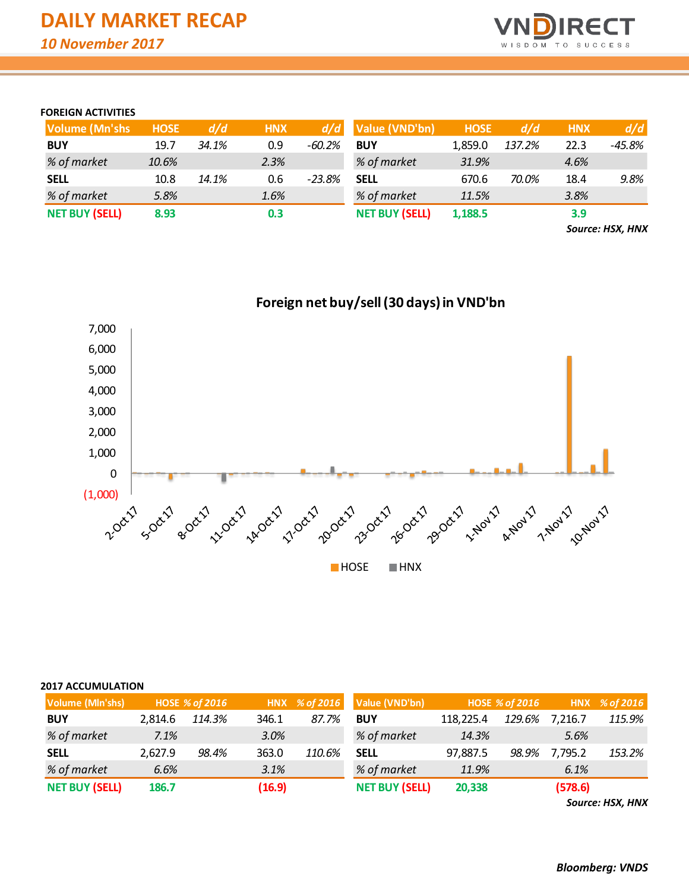

# **FOREIGN ACTIVITIES**

| <b>Volume (Mn'shs)</b> | <b>HOSE</b> | d/d   | <b>HNX</b> |          | $d/d$ Value (VND'bn)  | <b>HOSE</b> | d/d    | <b>HNX</b> | d/d    |
|------------------------|-------------|-------|------------|----------|-----------------------|-------------|--------|------------|--------|
| <b>BUY</b>             | 19.7        | 34.1% | 0.9        | $-60.2%$ | <b>BUY</b>            | 1,859.0     | 137.2% | 22.3       | -45.8% |
| % of market            | 10.6%       |       | 2.3%       |          | % of market           | 31.9%       |        | 4.6%       |        |
| <b>SELL</b>            | 10.8        | 14.1% | 0.6        | $-23.8%$ | <b>SELL</b>           | 670.6       | 70.0%  | 18.4       | 9.8%   |
| % of market            | 5.8%        |       | 1.6%       |          | % of market           | 11.5%       |        | 3.8%       |        |
| <b>NET BUY (SELL)</b>  | 8.93        |       | 0.3        |          | <b>NET BUY (SELL)</b> | 1,188.5     |        | 3.9        |        |

*Source: HSX, HNX*



# **Foreign net buy/sell (30 days) in VND'bn**

### **2017 ACCUMULATION**

| Volume (Mln'shs)      |         | <b>HOSE % of 2016</b> |        |        | HNX % of 2016 Value (VND'bn) |           | <b>HOSE % of 2016</b> |         | HNX % of 2016 |
|-----------------------|---------|-----------------------|--------|--------|------------------------------|-----------|-----------------------|---------|---------------|
| <b>BUY</b>            | 2.814.6 | 114.3%                | 346.1  | 87.7%  | <b>BUY</b>                   | 118.225.4 | 129.6%                | 7,216.7 | 115.9%        |
| % of market           | 7.1%    |                       | 3.0%   |        | % of market                  | 14.3%     |                       | 5.6%    |               |
| <b>SELL</b>           | 2,627.9 | 98.4%                 | 363.0  | 110.6% | <b>SELL</b>                  | 97,887.5  | 98.9%                 | 7,795.2 | 153.2%        |
| % of market           | 6.6%    |                       | 3.1%   |        | % of market                  | 11.9%     |                       | 6.1%    |               |
| <b>NET BUY (SELL)</b> | 186.7   |                       | (16.9) |        | <b>NET BUY (SELL)</b>        | 20,338    |                       | (578.6) |               |

*Source: HSX, HNX*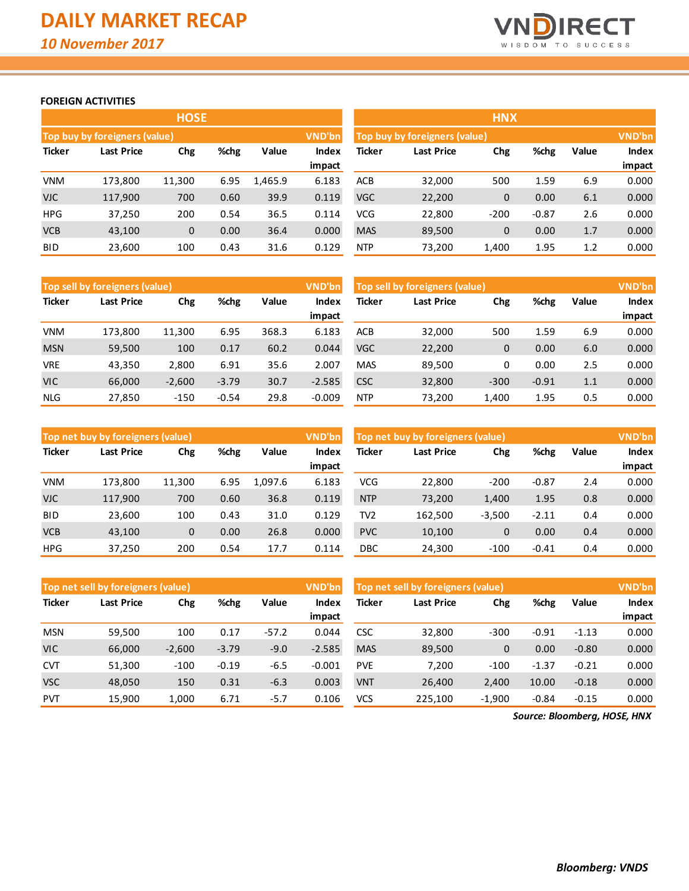

# **FOREIGN ACTIVITIES**

|               |                               | <b>HOSE</b>  |      |         |                 | <b>HNX</b>    |                               |        |         |       |                 |  |
|---------------|-------------------------------|--------------|------|---------|-----------------|---------------|-------------------------------|--------|---------|-------|-----------------|--|
|               | Top buy by foreigners (value) |              |      |         | VND'bn          |               | Top buy by foreigners (value) |        |         |       | <b>VND'bn</b>   |  |
| <b>Ticker</b> | <b>Last Price</b>             | Chg          | %chg | Value   | Index<br>impact | <b>Ticker</b> | <b>Last Price</b>             | Chg    | %chg    | Value | Index<br>impact |  |
|               |                               |              |      |         |                 |               |                               |        |         |       |                 |  |
| <b>VNM</b>    | 173,800                       | 11,300       | 6.95 | 1,465.9 | 6.183           | <b>ACB</b>    | 32,000                        | 500    | 1.59    | 6.9   | 0.000           |  |
| <b>VJC</b>    | 117,900                       | 700          | 0.60 | 39.9    | 0.119           | <b>VGC</b>    | 22,200                        | 0      | 0.00    | 6.1   | 0.000           |  |
| <b>HPG</b>    | 37,250                        | 200          | 0.54 | 36.5    | 0.114           | <b>VCG</b>    | 22,800                        | $-200$ | $-0.87$ | 2.6   | 0.000           |  |
| <b>VCB</b>    | 43,100                        | $\mathbf{0}$ | 0.00 | 36.4    | 0.000           | <b>MAS</b>    | 89,500                        | 0      | 0.00    | 1.7   | 0.000           |  |
| <b>BID</b>    | 23,600                        | 100          | 0.43 | 31.6    | 0.129           | <b>NTP</b>    | 73,200                        | 1,400  | 1.95    | 1.2   | 0.000           |  |

| HNX           |                               |          |         |       |              |  |  |  |  |  |  |  |
|---------------|-------------------------------|----------|---------|-------|--------------|--|--|--|--|--|--|--|
|               | Top buy by foreigners (value) |          |         |       |              |  |  |  |  |  |  |  |
| <b>Ticker</b> | <b>Last Price</b>             | Chg      | %chg    | Value | <b>Index</b> |  |  |  |  |  |  |  |
|               |                               |          |         |       | impact       |  |  |  |  |  |  |  |
| <b>ACB</b>    | 32,000                        | 500      | 1.59    | 6.9   | 0.000        |  |  |  |  |  |  |  |
| <b>VGC</b>    | 22,200                        | 0        | 0.00    | 6.1   | 0.000        |  |  |  |  |  |  |  |
| VCG           | 22,800                        | $-200$   | $-0.87$ | 2.6   | 0.000        |  |  |  |  |  |  |  |
| <b>MAS</b>    | 89,500                        | $\Omega$ | 0.00    | 1.7   | 0.000        |  |  |  |  |  |  |  |
| <b>NTP</b>    | 73,200                        | 1,400    | 1.95    | 1.2   | 0.000        |  |  |  |  |  |  |  |

|               | VND'bn<br>Top sell by foreigners (value) |          |         |              |               |            | Top sell by foreigners (value), |        |         |       |        |
|---------------|------------------------------------------|----------|---------|--------------|---------------|------------|---------------------------------|--------|---------|-------|--------|
| <b>Ticker</b> | %chg<br>Last Price<br>Chg                |          | Value   | <b>Index</b> | <b>Ticker</b> | Last Price |                                 | %chg   | Value   | Index |        |
|               |                                          |          |         |              | impact        |            |                                 |        |         |       | impact |
| <b>VNM</b>    | 173.800                                  | 11,300   | 6.95    | 368.3        | 6.183         | <b>ACB</b> | 32,000                          | 500    | 1.59    | 6.9   | 0.000  |
| <b>MSN</b>    | 59,500                                   | 100      | 0.17    | 60.2         | 0.044         | <b>VGC</b> | 22,200                          | 0      | 0.00    | 6.0   | 0.000  |
| <b>VRE</b>    | 43.350                                   | 2,800    | 6.91    | 35.6         | 2.007         | <b>MAS</b> | 89,500                          | 0      | 0.00    | 2.5   | 0.000  |
| <b>VIC</b>    | 66,000                                   | $-2,600$ | $-3.79$ | 30.7         | $-2.585$      | <b>CSC</b> | 32,800                          | $-300$ | $-0.91$ | 1.1   | 0.000  |
| <b>NLG</b>    | 27,850                                   | $-150$   | $-0.54$ | 29.8         | $-0.009$      | <b>NTP</b> | 73,200                          | 1.400  | 1.95    | 0.5   | 0.000  |

|               | <b>VND'bn</b><br>Top net buy by foreigners (value) |              |       |              |               |                   | Top net buy by foreigners (value) |          |         |              |        |
|---------------|----------------------------------------------------|--------------|-------|--------------|---------------|-------------------|-----------------------------------|----------|---------|--------------|--------|
| <b>Ticker</b> | %chg<br>Last Price<br>Chg                          |              | Value | <b>Index</b> | <b>Ticker</b> | Last Price<br>Chg |                                   | %chg     | Value   | <b>Index</b> |        |
|               |                                                    |              |       |              | impact        |                   |                                   |          |         |              | impact |
| <b>VNM</b>    | 173,800                                            | 11,300       | 6.95  | 1.097.6      | 6.183         | <b>VCG</b>        | 22,800                            | $-200$   | $-0.87$ | 2.4          | 0.000  |
| <b>VJC</b>    | 117,900                                            | 700          | 0.60  | 36.8         | 0.119         | <b>NTP</b>        | 73,200                            | 1,400    | 1.95    | 0.8          | 0.000  |
| <b>BID</b>    | 23,600                                             | 100          | 0.43  | 31.0         | 0.129         | TV <sub>2</sub>   | 162,500                           | $-3,500$ | $-2.11$ | 0.4          | 0.000  |
| <b>VCB</b>    | 43,100                                             | $\mathbf{0}$ | 0.00  | 26.8         | 0.000         | <b>PVC</b>        | 10,100                            | 0        | 0.00    | 0.4          | 0.000  |
| <b>HPG</b>    | 37,250                                             | 200          | 0.54  | 17.7         | 0.114         | <b>DBC</b>        | 24,300                            | $-100$   | $-0.41$ | 0.4          | 0.000  |

|               | VND'bn<br>Top net sell by foreigners (value) |          |         |              |               |                          | Top net sell by foreigners (value) |          |         |         |        |
|---------------|----------------------------------------------|----------|---------|--------------|---------------|--------------------------|------------------------------------|----------|---------|---------|--------|
| <b>Ticker</b> | %chg<br>Last Price<br>Chg                    |          | Value   | <b>Index</b> | <b>Ticker</b> | <b>Last Price</b><br>Chg |                                    | %chg     | Value   | Index   |        |
|               |                                              |          |         |              | impact        |                          |                                    |          |         |         | impact |
| <b>MSN</b>    | 59,500                                       | 100      | 0.17    | $-57.2$      | 0.044         | <b>CSC</b>               | 32,800                             | $-300$   | $-0.91$ | $-1.13$ | 0.000  |
| <b>VIC</b>    | 66,000                                       | $-2,600$ | $-3.79$ | $-9.0$       | $-2.585$      | <b>MAS</b>               | 89,500                             | 0        | 0.00    | $-0.80$ | 0.000  |
| <b>CVT</b>    | 51,300                                       | $-100$   | $-0.19$ | $-6.5$       | $-0.001$      | <b>PVE</b>               | 7.200                              | $-100$   | $-1.37$ | $-0.21$ | 0.000  |
| <b>VSC</b>    | 48,050                                       | 150      | 0.31    | $-6.3$       | 0.003         | <b>VNT</b>               | 26,400                             | 2,400    | 10.00   | $-0.18$ | 0.000  |
| <b>PVT</b>    | 15,900                                       | 1,000    | 6.71    | $-5.7$       | 0.106         | VCS                      | 225,100                            | $-1,900$ | $-0.84$ | $-0.15$ | 0.000  |

*Source: Bloomberg, HOSE, HNX*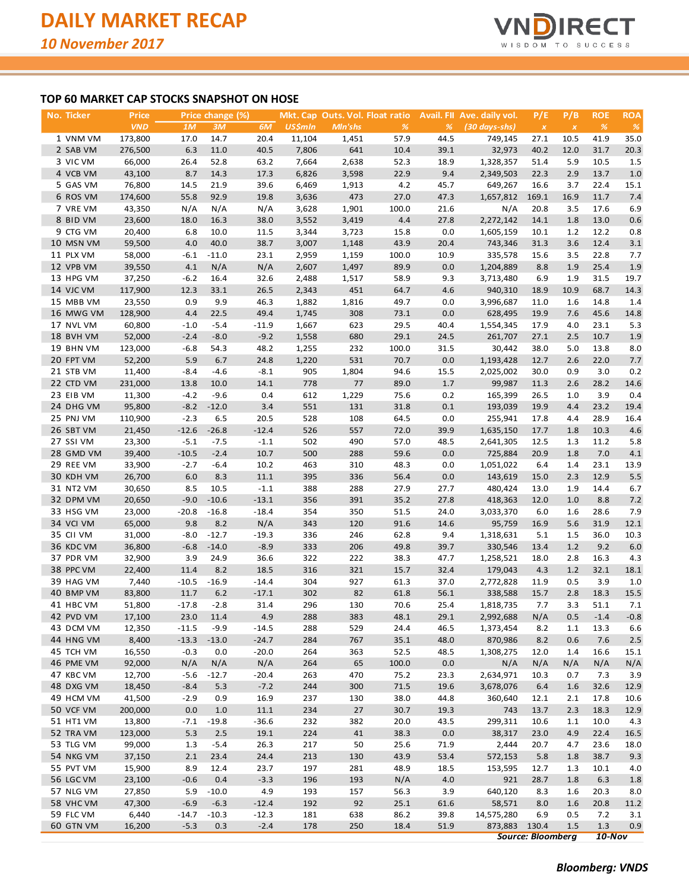

# **TOP 60 MARKET CAP STOCKS SNAPSHOT ON HOSE**

| <u>No. Ticker</u> | Price      |         | Price change (%) |         |                |         | Mkt. Cap Outs. Vol. Float ratio |      | <b>Avail.</b> FII Ave. daily vol. | P/E                      | P/B                | <b>ROE</b>    | <b>ROA</b>    |
|-------------------|------------|---------|------------------|---------|----------------|---------|---------------------------------|------|-----------------------------------|--------------------------|--------------------|---------------|---------------|
|                   | <b>VND</b> | 1M      | 3M               | 6M      | <b>US\$mln</b> | Mln'shs | %                               | %    | $(30 \, days\text{-}shs)$         | $\boldsymbol{X}$         | $\pmb{\mathsf{x}}$ | $\frac{9}{6}$ | $\frac{9}{6}$ |
| 1 VNM VM          | 173,800    | 17.0    | 14.7             | 20.4    | 11,104         | 1,451   | 57.9                            | 44.5 | 749,145                           | 27.1                     | 10.5               | 41.9          | 35.0          |
| 2 SAB VM          | 276,500    | 6.3     | 11.0             | 40.5    | 7,806          | 641     | 10.4                            | 39.1 | 32,973                            | 40.2                     | 12.0               | 31.7          | 20.3          |
| 3 VIC VM          | 66,000     | 26.4    | 52.8             | 63.2    | 7,664          | 2,638   | 52.3                            | 18.9 | 1,328,357                         | 51.4                     | 5.9                | 10.5          | 1.5           |
| 4 VCB VM          | 43,100     | 8.7     | 14.3             | 17.3    | 6,826          | 3,598   | 22.9                            | 9.4  | 2,349,503                         | 22.3                     | 2.9                | 13.7          | 1.0           |
| 5 GAS VM          | 76,800     | 14.5    | 21.9             | 39.6    | 6,469          | 1,913   | 4.2                             | 45.7 | 649,267                           | 16.6                     | 3.7                | 22.4          | 15.1          |
| 6 ROS VM          | 174,600    | 55.8    | 92.9             | 19.8    | 3,636          | 473     | 27.0                            | 47.3 | 1,657,812                         | 169.1                    | 16.9               | 11.7          | 7.4           |
| 7 VRE VM          | 43,350     | N/A     | N/A              | N/A     | 3,628          | 1,901   | 100.0                           | 21.6 | N/A                               | 20.8                     | 3.5                | 17.6          | 6.9           |
| 8 BID VM          | 23,600     | 18.0    | 16.3             | 38.0    | 3,552          | 3,419   | 4.4                             | 27.8 | 2,272,142                         | 14.1                     | 1.8                | 13.0          | 0.6           |
| 9 CTG VM          | 20,400     | 6.8     | 10.0             | 11.5    | 3,344          | 3,723   | 15.8                            | 0.0  | 1,605,159                         | 10.1                     | 1.2                | 12.2          | 0.8           |
| 10 MSN VM         | 59,500     | 4.0     | 40.0             | 38.7    |                |         | 43.9                            | 20.4 |                                   |                          | 3.6                | 12.4          | 3.1           |
|                   |            |         |                  |         | 3,007          | 1,148   |                                 |      | 743,346                           | 31.3                     |                    |               |               |
| 11 PLX VM         | 58,000     | $-6.1$  | $-11.0$          | 23.1    | 2,959          | 1,159   | 100.0                           | 10.9 | 335,578                           | 15.6                     | 3.5                | 22.8          | 7.7           |
| 12 VPB VM         | 39,550     | 4.1     | N/A              | N/A     | 2,607          | 1,497   | 89.9                            | 0.0  | 1,204,889                         | 8.8                      | 1.9                | 25.4          | 1.9           |
| 13 HPG VM         | 37,250     | $-6.2$  | 16.4             | 32.6    | 2,488          | 1,517   | 58.9                            | 9.3  | 3,713,480                         | 6.9                      | 1.9                | 31.5          | 19.7          |
| 14 VJC VM         | 117,900    | 12.3    | 33.1             | 26.5    | 2,343          | 451     | 64.7                            | 4.6  | 940,310                           | 18.9                     | 10.9               | 68.7          | 14.3          |
| 15 MBB VM         | 23,550     | 0.9     | 9.9              | 46.3    | 1,882          | 1,816   | 49.7                            | 0.0  | 3,996,687                         | 11.0                     | 1.6                | 14.8          | 1.4           |
| 16 MWG VM         | 128,900    | 4.4     | 22.5             | 49.4    | 1,745          | 308     | 73.1                            | 0.0  | 628,495                           | 19.9                     | 7.6                | 45.6          | 14.8          |
| 17 NVL VM         | 60,800     | $-1.0$  | $-5.4$           | $-11.9$ | 1,667          | 623     | 29.5                            | 40.4 | 1,554,345                         | 17.9                     | 4.0                | 23.1          | 5.3           |
| 18 BVH VM         | 52,000     | $-2.4$  | $-8.0$           | $-9.2$  | 1,558          | 680     | 29.1                            | 24.5 | 261,707                           | 27.1                     | 2.5                | 10.7          | 1.9           |
| 19 BHN VM         | 123,000    | $-6.8$  | 54.3             | 48.2    | 1,255          | 232     | 100.0                           | 31.5 | 30,442                            | 38.0                     | 5.0                | 13.8          | 8.0           |
| 20 FPT VM         | 52,200     | 5.9     | 6.7              | 24.8    | 1,220          | 531     | 70.7                            | 0.0  | 1,193,428                         | 12.7                     | 2.6                | 22.0          | 7.7           |
| 21 STB VM         | 11,400     | $-8.4$  | $-4.6$           | $-8.1$  | 905            | 1,804   | 94.6                            | 15.5 | 2,025,002                         | 30.0                     | 0.9                | 3.0           | 0.2           |
| 22 CTD VM         | 231,000    | 13.8    | 10.0             | 14.1    | 778            | 77      | 89.0                            | 1.7  | 99,987                            | 11.3                     | 2.6                | 28.2          | 14.6          |
| 23 EIB VM         | 11,300     | $-4.2$  | $-9.6$           | 0.4     | 612            | 1,229   | 75.6                            | 0.2  | 165,399                           | 26.5                     | 1.0                | 3.9           | 0.4           |
| 24 DHG VM         | 95,800     | $-8.2$  | $-12.0$          | 3.4     | 551            | 131     | 31.8                            | 0.1  | 193,039                           | 19.9                     | 4.4                | 23.2          | 19.4          |
| 25 PNJ VM         | 110,900    | $-2.3$  | 6.5              | 20.5    | 528            | 108     | 64.5                            | 0.0  | 255,941                           | 17.8                     | 4.4                | 28.9          | 16.4          |
| 26 SBT VM         | 21,450     | $-12.6$ | $-26.8$          | $-12.4$ | 526            | 557     | 72.0                            | 39.9 | 1,635,150                         | 17.7                     | 1.8                | 10.3          | 4.6           |
| 27 SSI VM         | 23,300     | $-5.1$  | $-7.5$           | $-1.1$  | 502            | 490     | 57.0                            | 48.5 | 2,641,305                         | 12.5                     | 1.3                | 11.2          | 5.8           |
| 28 GMD VM         | 39,400     | $-10.5$ | $-2.4$           | 10.7    | 500            | 288     | 59.6                            | 0.0  | 725,884                           | 20.9                     | 1.8                | 7.0           | 4.1           |
| 29 REE VM         | 33,900     | $-2.7$  | $-6.4$           | 10.2    | 463            | 310     | 48.3                            | 0.0  | 1,051,022                         | 6.4                      | 1.4                | 23.1          | 13.9          |
|                   |            |         |                  |         |                |         |                                 |      |                                   |                          |                    |               |               |
| 30 KDH VM         | 26,700     | 6.0     | 8.3              | 11.1    | 395            | 336     | 56.4                            | 0.0  | 143,619                           | 15.0                     | 2.3                | 12.9          | 5.5           |
| 31 NT2 VM         | 30,650     | 8.5     | 10.5             | $-1.1$  | 388            | 288     | 27.9                            | 27.7 | 480,424                           | 13.0                     | 1.9                | 14.4          | 6.7           |
| 32 DPM VM         | 20,650     | $-9.0$  | $-10.6$          | $-13.1$ | 356            | 391     | 35.2                            | 27.8 | 418,363                           | 12.0                     | 1.0                | 8.8           | 7.2           |
| 33 HSG VM         | 23,000     | $-20.8$ | $-16.8$          | $-18.4$ | 354            | 350     | 51.5                            | 24.0 | 3,033,370                         | 6.0                      | 1.6                | 28.6          | 7.9           |
| 34 VCI VM         | 65,000     | 9.8     | 8.2              | N/A     | 343            | 120     | 91.6                            | 14.6 | 95,759                            | 16.9                     | 5.6                | 31.9          | 12.1          |
| 35 CII VM         | 31,000     | $-8.0$  | $-12.7$          | $-19.3$ | 336            | 246     | 62.8                            | 9.4  | 1,318,631                         | 5.1                      | 1.5                | 36.0          | 10.3          |
| 36 KDC VM         | 36,800     | $-6.8$  | $-14.0$          | $-8.9$  | 333            | 206     | 49.8                            | 39.7 | 330,546                           | 13.4                     | 1.2                | 9.2           | 6.0           |
| 37 PDR VM         | 32,900     | 3.9     | 24.9             | 36.6    | 322            | 222     | 38.3                            | 47.7 | 1,258,521                         | 18.0                     | 2.8                | 16.3          | 4.3           |
| 38 PPC VM         | 22,400     | 11.4    | 8.2              | 18.5    | 316            | 321     | 15.7                            | 32.4 | 179,043                           | 4.3                      | 1.2                | 32.1          | 18.1          |
| 39 HAG VM         | 7,440      | $-10.5$ | $-16.9$          | $-14.4$ | 304            | 927     | 61.3                            | 37.0 | 2,772,828                         | 11.9                     | 0.5                | 3.9           | 1.0           |
| 40 BMP VM         | 83,800     | 11.7    | 6.2              | $-17.1$ | 302            | 82      | 61.8                            | 56.1 | 338,588                           | 15.7                     | 2.8                | 18.3          | 15.5          |
| 41 HBC VM         | 51,800     | $-17.8$ | $-2.8$           | 31.4    | 296            | 130     | 70.6                            | 25.4 | 1,818,735                         | 7.7                      | 3.3                | 51.1          | 7.1           |
| 42 PVD VM         | 17,100     |         | 23.0 11.4        | 4.9     | 288            | 383     | 48.1                            | 29.1 | 2,992,688                         | N/A                      | 0.5                | $-1.4$        | $-0.8$        |
| 43 DCM VM         | 12,350     | $-11.5$ | $-9.9$           | $-14.5$ | 288            | 529     | 24.4                            | 46.5 | 1,373,454                         | 8.2                      | 1.1                | 13.3          | 6.6           |
| 44 HNG VM         | 8,400      | $-13.3$ | $-13.0$          | $-24.7$ | 284            | 767     | 35.1                            | 48.0 | 870,986                           | 8.2                      | 0.6                | 7.6           | 2.5           |
| 45 TCH VM         | 16,550     | $-0.3$  | 0.0              | $-20.0$ | 264            | 363     | 52.5                            | 48.5 | 1,308,275                         | 12.0                     | 1.4                | 16.6          | 15.1          |
| 46 PME VM         | 92,000     | N/A     | N/A              | N/A     | 264            | 65      | 100.0                           | 0.0  | N/A                               | N/A                      | N/A                | N/A           | N/A           |
| 47 KBC VM         | 12,700     | $-5.6$  | $-12.7$          | $-20.4$ | 263            | 470     | 75.2                            | 23.3 | 2,634,971                         | 10.3                     | 0.7                | 7.3           | 3.9           |
| 48 DXG VM         | 18,450     | $-8.4$  | 5.3              | $-7.2$  | 244            | 300     | 71.5                            | 19.6 | 3,678,076                         | 6.4                      | 1.6                | 32.6          | 12.9          |
| 49 HCM VM         | 41,500     | $-2.9$  | 0.9              | 16.9    | 237            | 130     | 38.0                            | 44.8 | 360,640                           | 12.1                     | 2.1                | 17.8          | 10.6          |
| 50 VCF VM         | 200,000    | 0.0     | 1.0              | 11.1    | 234            | 27      | 30.7                            | 19.3 | 743                               | 13.7                     | 2.3                | 18.3          |               |
| 51 HT1 VM         | 13,800     | $-7.1$  | $-19.8$          | $-36.6$ | 232            | 382     | 20.0                            | 43.5 | 299,311                           | 10.6                     | 1.1                | 10.0          | 12.9<br>4.3   |
|                   |            |         |                  |         |                |         |                                 |      |                                   |                          |                    |               |               |
| 52 TRA VM         | 123,000    | 5.3     | $2.5$            | 19.1    | 224            | 41      | 38.3                            | 0.0  | 38,317                            | 23.0                     | 4.9                | 22.4          | 16.5          |
| 53 TLG VM         | 99,000     | 1.3     | $-5.4$           | 26.3    | 217            | 50      | 25.6                            | 71.9 | 2,444                             | 20.7                     | 4.7                | 23.6          | 18.0          |
| 54 NKG VM         | 37,150     | 2.1     | 23.4             | 24.4    | 213            | 130     | 43.9                            | 53.4 | 572,153                           | 5.8                      | 1.8                | 38.7          | 9.3           |
| 55 PVT VM         | 15,900     | 8.9     | 12.4             | 23.7    | 197            | 281     | 48.9                            | 18.5 | 153,595                           | 12.7                     | 1.3                | 10.1          | 4.0           |
| 56 LGC VM         | 23,100     | $-0.6$  | 0.4              | $-3.3$  | 196            | 193     | N/A                             | 4.0  | 921                               | 28.7                     | 1.8                | 6.3           | 1.8           |
| 57 NLG VM         | 27,850     | 5.9     | $-10.0$          | 4.9     | 193            | 157     | 56.3                            | 3.9  | 640,120                           | 8.3                      | 1.6                | 20.3          | 8.0           |
| 58 VHC VM         | 47,300     | $-6.9$  | $-6.3$           | $-12.4$ | 192            | 92      | 25.1                            | 61.6 | 58,571                            | 8.0                      | 1.6                | 20.8          | 11.2          |
| 59 FLC VM         | 6,440      | $-14.7$ | $-10.3$          | $-12.3$ | 181            | 638     | 86.2                            | 39.8 | 14,575,280                        | 6.9                      | 0.5                | 7.2           | 3.1           |
| 60 GTN VM         | 16,200     | $-5.3$  | 0.3              | $-2.4$  | 178            | 250     | 18.4                            | 51.9 | 873,883 130.4                     |                          | 1.5                | 1.3           | 0.9           |
|                   |            |         |                  |         |                |         |                                 |      |                                   | <b>Source: Bloomberg</b> |                    | $10-Nov$      |               |